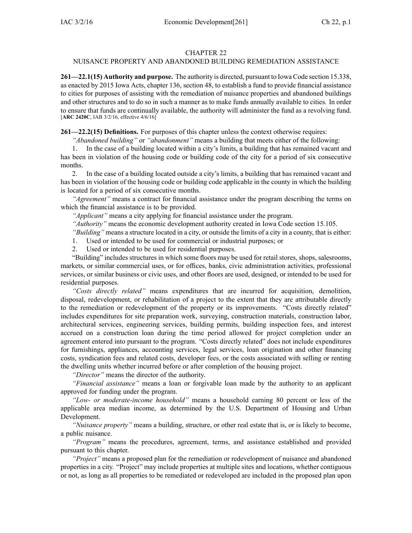### CHAPTER 22

# NUISANCE PROPERTY AND ABANDONED BUILDING REMEDIATION ASSISTANCE

**261—22.1(15) Authority and purpose.** The authority is directed, pursuan<sup>t</sup> to Iowa Code section [15.338](https://www.legis.iowa.gov/docs/ico/section/15.338.pdf), as enacted by 2015 Iowa Acts, chapter 136, section 48, to establish <sup>a</sup> fund to provide financial assistance to cities for purposes of assisting with the remediation of nuisance properties and abandoned buildings and other structures and to do so in such <sup>a</sup> manner as to make funds annually available to cities. In order to ensure that funds are continually available, the authority will administer the fund as <sup>a</sup> revolving fund. [**ARC 2420C**, IAB 3/2/16, effective 4/6/16]

**261—22.2(15) Definitions.** For purposes of this chapter unless the context otherwise requires:

*"Abandoned building"* or *"abandonment"* means <sup>a</sup> building that meets either of the following:

1. In the case of <sup>a</sup> building located within <sup>a</sup> city's limits, <sup>a</sup> building that has remained vacant and has been in violation of the housing code or building code of the city for <sup>a</sup> period of six consecutive months.

2. In the case of <sup>a</sup> building located outside <sup>a</sup> city's limits, <sup>a</sup> building that has remained vacant and has been in violation of the housing code or building code applicable in the county in which the building is located for <sup>a</sup> period of six consecutive months.

*"Agreement"* means <sup>a</sup> contract for financial assistance under the program describing the terms on which the financial assistance is to be provided.

*"Applicant"* means <sup>a</sup> city applying for financial assistance under the program.

*"Authority"* means the economic development authority created in Iowa Code section [15.105](https://www.legis.iowa.gov/docs/ico/section/15.105.pdf).

*"Building"* means <sup>a</sup> structure located in <sup>a</sup> city, or outside the limits of <sup>a</sup> city in <sup>a</sup> county, that is either:

1. Used or intended to be used for commercial or industrial purposes; or

2. Used or intended to be used for residential purposes.

"Building" includes structures in which some floors may be used for retail stores, shops, salesrooms, markets, or similar commercial uses, or for offices, banks, civic administration activities, professional services, or similar business or civic uses, and other floors are used, designed, or intended to be used for residential purposes.

*"Costs directly related"* means expenditures that are incurred for acquisition, demolition, disposal, redevelopment, or rehabilitation of <sup>a</sup> project to the extent that they are attributable directly to the remediation or redevelopment of the property or its improvements. "Costs directly related" includes expenditures for site preparation work, surveying, construction materials, construction labor, architectural services, engineering services, building permits, building inspection fees, and interest accrued on <sup>a</sup> construction loan during the time period allowed for project completion under an agreemen<sup>t</sup> entered into pursuan<sup>t</sup> to the program. "Costs directly related" does not include expenditures for furnishings, appliances, accounting services, legal services, loan origination and other financing costs, syndication fees and related costs, developer fees, or the costs associated with selling or renting the dwelling units whether incurred before or after completion of the housing project.

*"Director"* means the director of the authority.

*"Financial assistance"* means <sup>a</sup> loan or forgivable loan made by the authority to an applicant approved for funding under the program.

*"Low- or moderate-income household"* means <sup>a</sup> household earning 80 percen<sup>t</sup> or less of the applicable area median income, as determined by the U.S. Department of Housing and Urban Development.

*"Nuisance property"* means <sup>a</sup> building, structure, or other real estate that is, or is likely to become, <sup>a</sup> public nuisance.

*"Program"* means the procedures, agreement, terms, and assistance established and provided pursuan<sup>t</sup> to this chapter.

*"Project"* means <sup>a</sup> proposed plan for the remediation or redevelopment of nuisance and abandoned properties in <sup>a</sup> city. "Project" may include properties at multiple sites and locations, whether contiguous or not, as long as all properties to be remediated or redeveloped are included in the proposed plan upon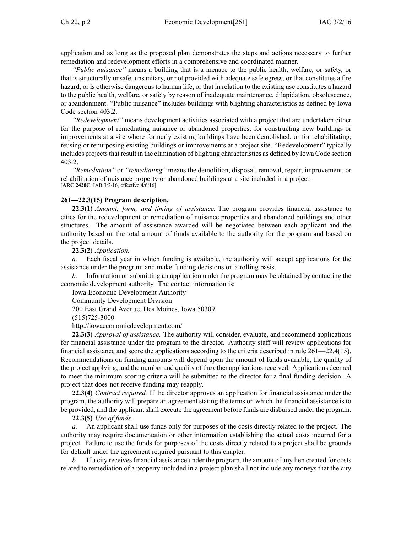application and as long as the proposed plan demonstrates the steps and actions necessary to further remediation and redevelopment efforts in <sup>a</sup> comprehensive and coordinated manner.

*"Public nuisance"* means <sup>a</sup> building that is <sup>a</sup> menace to the public health, welfare, or safety, or that is structurally unsafe, unsanitary, or not provided with adequate safe egress, or that constitutes <sup>a</sup> fire hazard, or is otherwise dangerous to human life, or that in relation to the existing use constitutes <sup>a</sup> hazard to the public health, welfare, or safety by reason of inadequate maintenance, dilapidation, obsolescence, or abandonment. "Public nuisance" includes buildings with blighting characteristics as defined by Iowa Code section [403.2](https://www.legis.iowa.gov/docs/ico/section/403.2.pdf).

*"Redevelopment"* means development activities associated with <sup>a</sup> project that are undertaken either for the purpose of remediating nuisance or abandoned properties, for constructing new buildings or improvements at <sup>a</sup> site where formerly existing buildings have been demolished, or for rehabilitating, reusing or repurposing existing buildings or improvements at <sup>a</sup> project site. "Redevelopment" typically includes projects that result in the elimination of blighting characteristics as defined by Iowa Code section [403.2](https://www.legis.iowa.gov/docs/ico/section/403.2.pdf).

*"Remediation"* or *"remediating"* means the demolition, disposal, removal, repair, improvement, or rehabilitation of nuisance property or abandoned buildings at <sup>a</sup> site included in <sup>a</sup> project. [**ARC 2420C**, IAB 3/2/16, effective 4/6/16]

### **261—22.3(15) Program description.**

**22.3(1)** *Amount, form, and timing of assistance.* The program provides financial assistance to cities for the redevelopment or remediation of nuisance properties and abandoned buildings and other structures. The amount of assistance awarded will be negotiated between each applicant and the authority based on the total amount of funds available to the authority for the program and based on the project details.

**22.3(2)** *Application.*

*a.* Each fiscal year in which funding is available, the authority will accep<sup>t</sup> applications for the assistance under the program and make funding decisions on <sup>a</sup> rolling basis.

*b.* Information on submitting an application under the program may be obtained by contacting the economic development authority. The contact information is:

Iowa Economic Development Authority

Community Development Division

200 East Grand Avenue, Des Moines, Iowa 50309

(515)725-3000

<http://iowaeconomicdevelopment.com/>

**22.3(3)** *Approval of assistance.* The authority will consider, evaluate, and recommend applications for financial assistance under the program to the director. Authority staff will review applications for financial assistance and score the applications according to the criteria described in rule 261—22.4(15). Recommendations on funding amounts will depend upon the amount of funds available, the quality of the project applying, and the number and quality of the other applications received. Applications deemed to meet the minimum scoring criteria will be submitted to the director for <sup>a</sup> final funding decision. A project that does not receive funding may reapply.

**22.3(4)** *Contract required.* If the director approves an application for financial assistance under the program, the authority will prepare an agreemen<sup>t</sup> stating the terms on which the financial assistance is to be provided, and the applicant shall execute the agreement before funds are disbursed under the program.

**22.3(5)** *Use of funds.*

*a.* An applicant shall use funds only for purposes of the costs directly related to the project. The authority may require documentation or other information establishing the actual costs incurred for <sup>a</sup> project. Failure to use the funds for purposes of the costs directly related to <sup>a</sup> project shall be grounds for default under the agreemen<sup>t</sup> required pursuan<sup>t</sup> to this chapter.

If a city receives financial assistance under the program, the amount of any lien created for costs related to remediation of <sup>a</sup> property included in <sup>a</sup> project plan shall not include any moneys that the city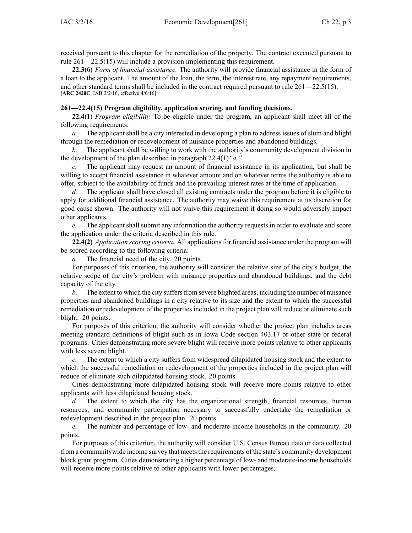received pursuan<sup>t</sup> to this chapter for the remediation of the property. The contract executed pursuan<sup>t</sup> to rule 261—22.5(15) will include <sup>a</sup> provision implementing this requirement.

**22.3(6)** *Form of financial assistance.* The authority will provide financial assistance in the form of <sup>a</sup> loan to the applicant. The amount of the loan, the term, the interest rate, any repaymen<sup>t</sup> requirements, and other standard terms shall be included in the contract required pursuan<sup>t</sup> to rule 261—22.5(15). [**ARC 2420C**, IAB 3/2/16, effective 4/6/16]

## **261—22.4(15) Program eligibility, application scoring, and funding decisions.**

**22.4(1)** *Program eligibility.* To be eligible under the program, an applicant shall meet all of the following requirements:

*a.* The applicant shall be <sup>a</sup> city interested in developing <sup>a</sup> plan to address issues of slum and blight through the remediation or redevelopment of nuisance properties and abandoned buildings.

*b.* The applicant shall be willing to work with the authority's community development division in the development of the plan described in paragraph 22.4(1)*"a."*

*c.* The applicant may reques<sup>t</sup> an amount of financial assistance in its application, but shall be willing to accep<sup>t</sup> financial assistance in whatever amount and on whatever terms the authority is able to offer, subject to the availability of funds and the prevailing interest rates at the time of application.

*d.* The applicant shall have closed all existing contracts under the program before it is eligible to apply for additional financial assistance. The authority may waive this requirement at its discretion for good cause shown. The authority will not waive this requirement if doing so would adversely impact other applicants.

*e.* The applicant shall submit any information the authority requests in order to evaluate and score the application under the criteria described in this rule.

**22.4(2)** *Application scoring criteria.* All applications for financial assistance under the program will be scored according to the following criteria:

*a.* The financial need of the city. 20 points.

For purposes of this criterion, the authority will consider the relative size of the city's budget, the relative scope of the city's problem with nuisance properties and abandoned buildings, and the debt capacity of the city.

*b.* The extent to which the city suffers from severe blighted areas, including the number of nuisance properties and abandoned buildings in <sup>a</sup> city relative to its size and the extent to which the successful remediation or redevelopment of the properties included in the project plan will reduce or eliminate such blight. 20 points.

For purposes of this criterion, the authority will consider whether the project plan includes areas meeting standard definitions of blight such as in Iowa Code section [403.17](https://www.legis.iowa.gov/docs/ico/section/403.17.pdf) or other state or federal programs. Cities demonstrating more severe blight will receive more points relative to other applicants with less severe blight.

*c.* The extent to which <sup>a</sup> city suffers from widespread dilapidated housing stock and the extent to which the successful remediation or redevelopment of the properties included in the project plan will reduce or eliminate such dilapidated housing stock. 20 points.

Cities demonstrating more dilapidated housing stock will receive more points relative to other applicants with less dilapidated housing stock.

*d.* The extent to which the city has the organizational strength, financial resources, human resources, and community participation necessary to successfully undertake the remediation or redevelopment described in the project plan. 20 points.

*e.* The number and percentage of low- and moderate-income households in the community. 20 points.

For purposes of this criterion, the authority will consider U.S. Census Bureau data or data collected from a community wide income survey that meets the requirements of the state's community development block gran<sup>t</sup> program. Cities demonstrating <sup>a</sup> higher percentage of low- and moderate-income households will receive more points relative to other applicants with lower percentages.